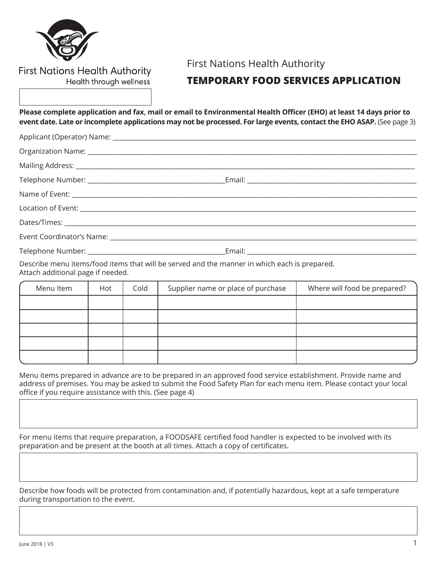

## **First Nations Health Authority** Health through wellness

# First Nations Health Authority

# **TEMPORARY FOOD SERVICES APPLICATION**

**Please complete application and fax, mail or email to Environmental Health Officer (EHO) at least 14 days prior to event date. Late or incomplete applications may not be processed. For large events, contact the EHO ASAP.** (See page 3)

| Mailing Address: 1999 Mailing Address: 1999 Mailing Address: 1999 Mailing Address: 1999 Mailing Address: 1999 |  |
|---------------------------------------------------------------------------------------------------------------|--|
|                                                                                                               |  |
|                                                                                                               |  |
|                                                                                                               |  |
|                                                                                                               |  |
|                                                                                                               |  |
|                                                                                                               |  |

Describe menu items/food items that will be served and the manner in which each is prepared. Attach additional page if needed.

| Menu Item | Hot | Cold | Supplier name or place of purchase | Where will food be prepared? |
|-----------|-----|------|------------------------------------|------------------------------|
|           |     |      |                                    |                              |
|           |     |      |                                    |                              |
|           |     |      |                                    |                              |
|           |     |      |                                    |                              |
|           |     |      |                                    |                              |

Menu items prepared in advance are to be prepared in an approved food service establishment. Provide name and address of premises. You may be asked to submit the Food Safety Plan for each menu item. Please contact your local office if you require assistance with this. (See page 4)

For menu items that require preparation, a FOODSAFE certified food handler is expected to be involved with its preparation and be present at the booth at all times. Attach a copy of certificates.

Describe how foods will be protected from contamination and, if potentially hazardous, kept at a safe temperature during transportation to the event.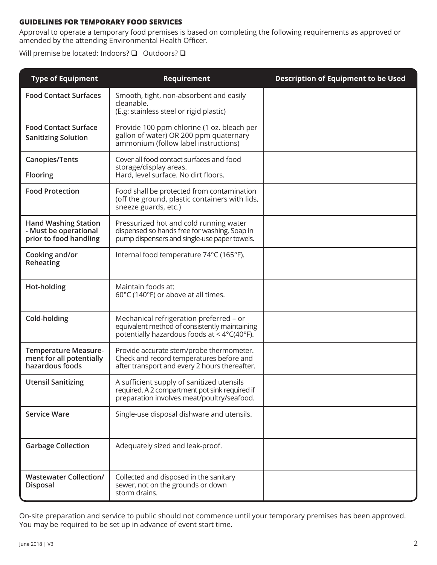### **GUIDELINES FOR TEMPORARY FOOD SERVICES**

Approval to operate a temporary food premises is based on completing the following requirements as approved or amended by the attending Environmental Health Officer.

Will premise be located: Indoors?  $\square$  Outdoors?  $\square$ 

| <b>Type of Equipment</b>                                                       | Requirement                                                                                                                                                   | <b>Description of Equipment to be Used</b> |
|--------------------------------------------------------------------------------|---------------------------------------------------------------------------------------------------------------------------------------------------------------|--------------------------------------------|
| <b>Food Contact Surfaces</b>                                                   | Smooth, tight, non-absorbent and easily<br>cleanable.<br>(E.g: stainless steel or rigid plastic)                                                              |                                            |
| <b>Food Contact Surface</b><br><b>Sanitizing Solution</b>                      | Provide 100 ppm chlorine (1 oz. bleach per<br>gallon of water) OR 200 ppm quaternary<br>ammonium (follow label instructions)                                  |                                            |
| <b>Canopies/Tents</b><br><b>Flooring</b>                                       | Cover all food contact surfaces and food<br>storage/display areas.<br>Hard, level surface. No dirt floors.                                                    |                                            |
| <b>Food Protection</b>                                                         | Food shall be protected from contamination<br>(off the ground, plastic containers with lids,<br>sneeze guards, etc.)                                          |                                            |
| <b>Hand Washing Station</b><br>- Must be operational<br>prior to food handling | Pressurized hot and cold running water<br>dispensed so hands free for washing. Soap in<br>pump dispensers and single-use paper towels.                        |                                            |
| Cooking and/or<br>Reheating                                                    | Internal food temperature 74°C (165°F).                                                                                                                       |                                            |
| Hot-holding                                                                    | Maintain foods at:<br>60°C (140°F) or above at all times.                                                                                                     |                                            |
| Cold-holding                                                                   | Mechanical refrigeration preferred - or<br>equivalent method of consistently maintaining<br>potentially hazardous foods at $<$ 4 $\degree$ C(40 $\degree$ F). |                                            |
| <b>Temperature Measure-</b><br>ment for all potentially<br>hazardous foods     | Provide accurate stem/probe thermometer.<br>Check and record temperatures before and<br>after transport and every 2 hours thereafter.                         |                                            |
| <b>Utensil Sanitizing</b>                                                      | A sufficient supply of sanitized utensils<br>required. A 2 compartment pot sink required if<br>preparation involves meat/poultry/seafood.                     |                                            |
| <b>Service Ware</b>                                                            | Single-use disposal dishware and utensils.                                                                                                                    |                                            |
| <b>Garbage Collection</b>                                                      | Adequately sized and leak-proof.                                                                                                                              |                                            |
| <b>Wastewater Collection/</b><br><b>Disposal</b>                               | Collected and disposed in the sanitary<br>sewer, not on the grounds or down<br>storm drains.                                                                  |                                            |

On-site preparation and service to public should not commence until your temporary premises has been approved. You may be required to be set up in advance of event start time.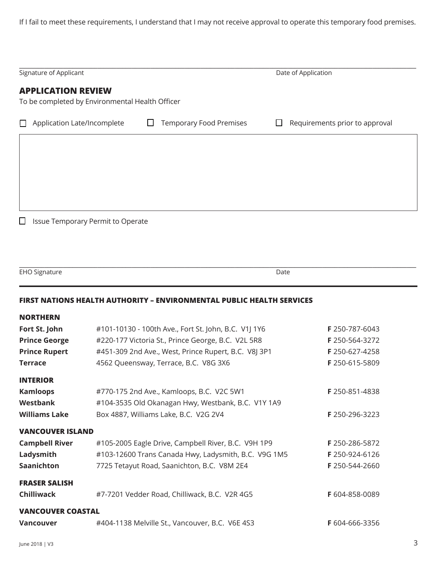If I fail to meet these requirements, I understand that I may not receive approval to operate this temporary food premises.

| Signature of Applicant                                                       |                                | Date of Application                 |
|------------------------------------------------------------------------------|--------------------------------|-------------------------------------|
| <b>APPLICATION REVIEW</b><br>To be completed by Environmental Health Officer |                                |                                     |
| Application Late/Incomplete                                                  | <b>Temporary Food Premises</b> | Requirements prior to approval<br>ப |
|                                                                              |                                |                                     |
|                                                                              |                                |                                     |
|                                                                              |                                |                                     |
|                                                                              |                                |                                     |
| Issue Temporary Permit to Operate<br>$\Box$                                  |                                |                                     |
|                                                                              |                                |                                     |

| TUT<br>$\sim$ 10 $\sigma$<br>-- I | $J \sim 1$<br>$- - - -$ |  |
|-----------------------------------|-------------------------|--|

#### **FIRST NATIONS HEALTH AUTHORITY – ENVIRONMENTAL PUBLIC HEALTH SERVICES**

| <b>NORTHERN</b>          |                                                      |                       |
|--------------------------|------------------------------------------------------|-----------------------|
| Fort St. John            | #101-10130 - 100th Ave., Fort St. John, B.C. V1J 1Y6 | F 250-787-6043        |
| <b>Prince George</b>     | #220-177 Victoria St., Prince George, B.C. V2L 5R8   | F 250-564-3272        |
| <b>Prince Rupert</b>     | #451-309 2nd Ave., West, Prince Rupert, B.C. V8J 3P1 | F 250-627-4258        |
| <b>Terrace</b>           | 4562 Queensway, Terrace, B.C. V8G 3X6                | F 250-615-5809        |
| <b>INTERIOR</b>          |                                                      |                       |
| <b>Kamloops</b>          | #770-175 2nd Ave., Kamloops, B.C. V2C 5W1            | <b>F</b> 250-851-4838 |
| Westbank                 | #104-3535 Old Okanagan Hwy, Westbank, B.C. V1Y 1A9   |                       |
| <b>Williams Lake</b>     | Box 4887, Williams Lake, B.C. V2G 2V4                | F 250-296-3223        |
| <b>VANCOUVER ISLAND</b>  |                                                      |                       |
| <b>Campbell River</b>    | #105-2005 Eagle Drive, Campbell River, B.C. V9H 1P9  | F 250-286-5872        |
| Ladysmith                | #103-12600 Trans Canada Hwy, Ladysmith, B.C. V9G 1M5 | F 250-924-6126        |
| <b>Saanichton</b>        | 7725 Tetayut Road, Saanichton, B.C. V8M 2E4          | F 250-544-2660        |
| <b>FRASER SALISH</b>     |                                                      |                       |
| <b>Chilliwack</b>        | #7-7201 Vedder Road, Chilliwack, B.C. V2R 4G5        | F 604-858-0089        |
| <b>VANCOUVER COASTAL</b> |                                                      |                       |
| <b>Vancouver</b>         | #404-1138 Melville St., Vancouver, B.C. V6E 4S3      | <b>F</b> 604-666-3356 |